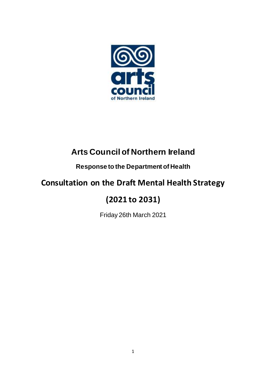

# **Arts Council of Northern Ireland**

# **Response to the Department of Health**

# **Consultation on the Draft Mental Health Strategy**

# **(2021 to 2031)**

Friday 26th March 2021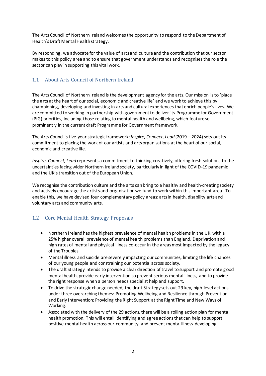The Arts Council of Northern Ireland welcomes the opportunity to respond to the Department of Health's Draft Mental Health strategy.

By responding, we advocate for the value of arts and culture and the contribution that our sector makes to this policy area and to ensure that government understands and recognises the role the sector can play in supporting this vital work.

## 1.1 About Arts Council of Northern Ireland

The Arts Council of Northern Ireland is the development agency for the arts. Our mission is to 'place the **arts** at the heart of our social, economic and creative life' and we work to achieve this by championing, developing and investing in arts and cultural experiences that enrich people's lives. We are committed to working in partnership with government to deliver its Programme for Government (PfG) priorities, including those relating to mental health and wellbeing, which feature so prominently in the current draft Programme for Government framework.

The Arts Council's five-year strategic framework; *Inspire, Connect, Lead* (2019 – 2024) sets out its commitment to placing the work of our artists and arts organisations at the heart of our social, economic and creative life.

*Inspire, Connect, Lead* represents a commitment to thinking creatively, offering fresh solutions to the uncertainties facing wider Northern Ireland society, particularly in light of the COVID-19 pandemic and the UK's transition out of the European Union.

We recognise the contribution culture and the arts can bring to a healthy and health-creating society and actively encourage the artists and organisation we fund to work within this important area. To enable this, we have devised four complementary policy areas: arts in health, disability arts and voluntary arts and community arts.

# 1.2 Core Mental Health Strategy Proposals

- Northern Ireland has the highest prevalence of mental health problems in the UK, with a 25% higher overall prevalence of mental health problems than England. Deprivation and high rates of mental and physical illness co-occur in the areas most impacted by the legacy of the Troubles.
- Mental illness and suicide are severely impacting our communities, limiting the life chances of our young people and constraining our potential across society.
- The draft Strategy intends to provide a clear direction of travel to support and promote good mental health, provide early intervention to prevent serious mental illness, and to provide the right response when a person needs specialist help and support.
- To drive the strategic change needed, the draft Strategy sets out 29 key, high-level actions under three overarching themes: Promoting Wellbeing and Resilience through Prevention and Early Intervention; Providing the Right Support at the Right Time and New Ways of Working.
- Associated with the delivery of the 29 actions, there will be a rolling action plan for mental health promotion. This will entail identifying and agree actions that can help to support positive mental health across our community, and prevent mental illness developing.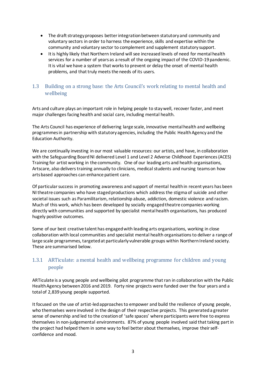- The draft strategy proposes better integration between statutory and community and voluntary sectors in order to harness the experience, skills and expertise within the community and voluntary sector to complement and supplement statutory support.
- It is highly likely that Northern Ireland will see increased levels of need for mental health services for a number of years as a result of the ongoing impact of the COVID-19 pandemic. It is vital we have a system that works to prevent or delay the onset of mental health problems, and that truly meets the needs of its users.

### 1.3 Building on a strong base: the Arts Council's work relating to mental health and wellbeing

Arts and culture plays an important role in helping people to stay well, recover faster, and meet major challenges facing health and social care, including mental health.

The Arts Council has experience of delivering large scale, innovative mental health and wellbeing programmesin partnership with statutory agencies, including the Public Health Agency and the Education Authority.

We are continually investing in our most valuable resources: our artists, and have, in collaboration with the Safeguarding Board NI delivered Level 1 and Level 2 Adverse Childhood Experiences (ACES) Training for artist working in the community. One of our leading arts and health organisations, Artscare, also delivers training annually to clinicians, medical students and nursing teams on how arts based approaches can enhance patient care.

Of particular success in promoting awareness and support of mental health in recent years has been NI theatre companies who have staged productions which address the stigma of suicide and other societal issues such as Paramilitarism, relationship abuse, addiction, domestic violence and racism. Much of this work, which has been developed by socially engaged theatre companies working directly with communities and supported by specialist mental health organisations, has produced hugely positive outcomes.

Some of our best creative talent has engaged with leading arts organisations, working in close collaboration with local communities and specialist mental health organisations to deliver a range of large scale programmes, targeted at particularly vulnerable groups within Northern Ireland society. These are summarised below.

# 1.3.1 ARTiculate: a mental health and wellbeing programme for children and young people

ARTiculate is a young people and wellbeing pilot programme that ran in collaboration with the Public Health Agency between 2016 and 2019. Forty nine projects were funded over the four years and a total of 2,839 young people supported.

It focused on the use of artist-led approaches to empower and build the resilience of young people, who themselves were involved in the design of their respective projects. This generated a greater sense of ownership and led to the creation of 'safe spaces' where participants were free to express themselves in non-judgemental environments. 87% of young people involved said that taking part in the project had helped them in some way to feel better about themselves, improve their selfconfidence and mood.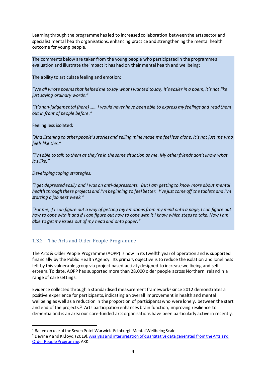Learning through the programme has led to increased collaboration betweenthe artssector and specialist mental health organisations, enhancing practice and strengthening the mental health outcome for young people.

The comments below are taken from the young people who participated in the programmes evaluation and illustrate the impact it has had on their mental health and wellbeing:

The ability to articulate feeling and emotion:

*"We all wrote poems that helped me to say what I wanted to say, it's easier in a poem, it's not like just saying ordinary words."*

*"It's non-judgemental (here) …… I would never have been able to express my feelings and read them out in front of people before."*

Feeling less isolated:

*"And listening to other people's stories and telling mine made me feel less alone, it's not just me who feels like this."*

*"I'm able to talk to them as they're in the same situation as me. My other friends don't know what it's like."*

*Developing coping strategies:*

 $\overline{a}$ 

*"I get depressed easily and I was on anti-depressants. But I am getting to know more about mental health through these projects and I'm beginning to feel better. I've just come off the tablets and I'm starting a job next week."*

*"For me, if I can figure out a way of getting my emotions from my mind onto a page, I can figure out how to cope with it and if I can figure out how to cope with it I know which steps to take. Now I am able to get my issues out of my head and onto paper."*

### 1.3.2 The Arts and Older People Programme

The Arts & Older People Programme (AOPP) is now in its twelfth year of operation and is supported financially by the Public Health Agency. Its primary objective is to reduce the isolation and loneliness felt by this vulnerable group via project based activity designed to increase wellbeing and selfesteem. To date, AOPP has supported more than 28,000 older people across Northern Ireland in a range of care settings.

Evidence collected through a standardised measurement framework<sup>1</sup> since 2012 demonstrates a positive experience for participants, indicating an overall improvement in health and mental wellbeing as well as a reduction in the proportion of participants who were lonely, between the start and end of the projects.<sup>2</sup> Arts participation enhances brain function, improving resilience to dementia and is an area our core-funded arts organisations have been particularly active in recently.

<sup>1</sup> Based on use of the Seven Point Warwick–Edinburgh Mental Wellbeing Scale

<sup>&</sup>lt;sup>2</sup> Devine P and K Lloyd, (2019). Analysis and interpretation of quantitative data generated from the Arts and [Older People Programme](http://www.artscouncil-ni.org/images/uploads/publications-documents/ACNI-AOP-Research-Summary-Report-December2019.pdf). ARK.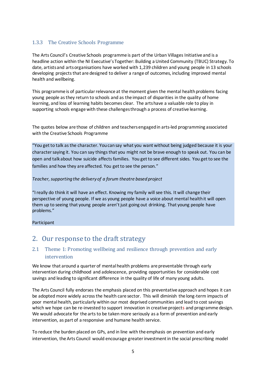# 1.3.3 The Creative Schools Programme

The Arts Council's Creative Schools programme is part of the Urban Villages Initiative and is a headline action within the NI Executive's Together: Building a United Community (TBUC) Strategy. To date, artists and arts organisations have worked with 1,239 children and young people in 13 schools developing projects that are designed to deliver a range of outcomes, including improved mental health and wellbeing.

This programme is of particular relevance at the moment given the mental health problems facing young people as they return to schools and as the impact of disparities in the quality of home learning, and loss of learning habits becomes clear. The arts have a valuable role to play in supporting schools engage with these challenges through a process of creative learning.

The quotes below are those of children and teachers engaged in arts-led programming associated with the Creative Schools Programme

"You get to talk as the character. You can say what you want without being judged because it is your character saying it. You can say things that you might not be brave enough to speak out. You can be open and talk about how suicide affects families. You get to see different sides. You get to see the families and how they are affected. You get to see the person."

#### Teacher, supporting the delivery of a forum theatre based project

"I really do think it will have an effect. Knowing my family will see this. It will change their perspective of young people. If we as young people have a voice about mental health it will open them up to seeing that young people aren't just going out drinking. That young people have problems."

#### Participant

# 2. Our response to the draft strategy

# 2.1 Theme 1: Promoting wellbeing and resilience through prevention and early intervention

We know that around a quarter of mental health problems are preventable through early intervention during childhood and adolescence, providing opportunities for considerable cost savings and leading to significant difference in the quality of life of many young adults.

The Arts Council fully endorses the emphasis placed on this preventative approach and hopes it can be adopted more widely across the health care sector. This will diminish the long-term impacts of poor mental health, particularly within our most deprived communities and lead to cost savings which we hope can be re-invested to support innovation in creative projects and programme design. We would advocate for the arts to be taken more seriously as a form of prevention and early intervention, as part of a responsive and humane health service.

To reduce the burden placed on GPs, and in line with the emphasis on prevention and early intervention, the Arts Council would encourage greater investment in the social prescribing model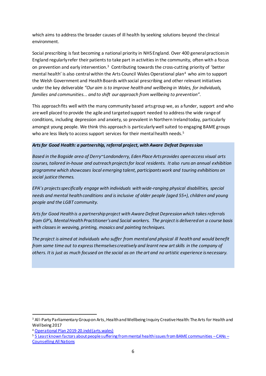which aims to address the broader causes of ill health by seeking solutions beyond the clinical environment.

Social prescribing is fast becoming a national priority in NHS England. Over 400 general practices in England regularly refer their patients to take part in activities in the community, often with a focus on prevention and early intervention.<sup>3</sup> Contributing towards the cross-cutting priority of 'better mental health' is also central within the Arts Council Wales Operational plan<sup>4</sup> who aim to support the Welsh Government and Health Boards with social prescribing and other relevant initiatives under the key deliverable *"Our aim is to improve health and wellbeing in Wales, for individuals, families and communities... and to shift our approach from wellbeing to prevention".*

This approach fits well with the many community based arts group we, as a funder, support and who are well placed to provide the agile and targeted support needed to address the wide range of conditions, including depression and anxiety, so prevalent in Northern Ireland today, particularly amongst young people. We think this approach is particularly well suited to engaging BAME groups who are less likely to access support services for their mental health needs. 5

#### *Arts for Good Health: a partnership, referral project, with Aware Defeat Depression*

*Based in the Bogside area of Derry~Londonderry, Eden Place Arts provides open access visual arts courses, tailored in-house and outreach projects for local residents. It also runs an annual exhibition programme which showcases local emerging talent, participantswork and touring exhibitions on social justice themes.*

*EPA's projects specifically engage with individuals with wide-ranging physical disabilities, special needs and mental health conditions and isinclusive of older people (aged 55+), children and young people and the LGBT community.* 

*Arts for Good Health is a partnership project with Aware Defeat Depression which takes referrals from GP's, Mental Health Practitioner's and Social workers. The project is delivered on a course basis with classes in weaving, printing, mosaics and painting techniques.*

*The project is aimed at individuals who suffer from mental and physical ill health and would benefit from some time out to express themselves creatively and learnt new art skills in the company of others. It is just as much focused on the social as on the art and no artistic experience is necessary.* 

 $\overline{a}$ 

<sup>&</sup>lt;sup>3</sup> All-Party Parliamentary Group on Arts, Health and Wellbeing Inquiry Creative Health: The Arts for Health and Wellbeing 2017

<sup>4</sup> [Operational Plan 2019-20.indd \(arts.wales\)](https://arts.wales/sites/default/files/2020-06/Operational%20Plan%202019-20.pdf)

<sup>5</sup> [5 Least known factors about people suffering from mental health issues from BAME communities](https://counsellingallnations.org/5-least-known-factors-about-people-suffering-from-mental-health-issues-from-bame-communities/) –CANs – [Counselling All](https://counsellingallnations.org/5-least-known-factors-about-people-suffering-from-mental-health-issues-from-bame-communities/) Nations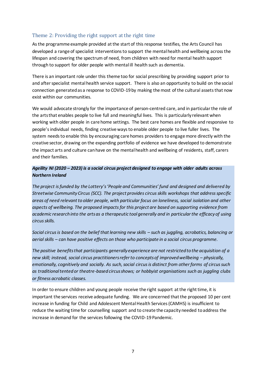## Theme 2: Providing the right support at the right time

As the programme example provided at the start of this response testifies, the Arts Council has developed a range of specialist interventions to support the mental health and wellbeing across the lifespan and covering the spectrum of need, from children with need for mental health support through to support for older people with mental ill health such as dementia.

There is an important role under this theme too for social prescribing by providing support prior to and after specialist mental health service support. There is also an opportunity to build on the social connection generated as a response to COVID-19 by making the most of the cultural assets that now exist within our communities.

We would advocate strongly for the importance of person-centred care, and in particular the role of the arts that enables people to live full and meaningful lives. This is particularly relevant when working with older people in care home settings. The best care homes are flexible and responsive to people's individual needs, finding creative ways to enable older people to live fuller lives. The system needs to enable this by encouraging care homes providers to engage more directly with the creative sector, drawing on the expanding portfolio of evidence we have developed to demonstrate the impact arts and culture can have on the mental health and wellbeing of residents, staff, carers and their families.

#### *Ageility NI (2020 – 2023) is a social circus project designed to engage with older adults across Northern Ireland*

*The project is funded by the Lottery's 'People and Communities' fund and designed and delivered by Streetwise Community Circus (SCC). The project provides circus skills workshops that address specific areas of need relevant to older people, with particular focus on loneliness, social isolation and other aspects of wellbeing. The proposed impacts for this project are based on supporting evidence from academic research into the arts as a therapeutic tool generally and in particular the efficacy of using circus skills.* 

*Social circus is based on the belief that learning new skills – such as juggling, acrobatics, balancing or aerial skills – can have positive effects on those who participate in a social circus programme.* 

*The positive benefits that participants generally experience are not restricted to the acquisition of a new skill; instead, social circus practitioners refer to concepts of improved wellbeing – physically, emotionally, cognitively and socially. As such, social circus is distinct from other forms of circus such as traditional tented or theatre-based circus shows; or hobbyist organisations such as juggling clubs or fitness acrobatic classes.* 

In order to ensure children and young people receive the right support at the right time, it is important the services receive adequate funding. We are concerned that the proposed 10 per cent increase in funding for Child and Adolescent Mental Health Services (CAMHS) is insufficient to reduce the waiting time for counselling support and to create the capacity needed to address the increase in demand for the services following the COVID-19 Pandemic.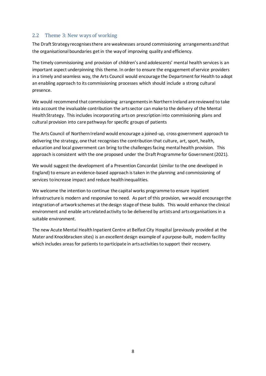### 2.2 Theme 3: New ways of working

The Draft Strategy recognises there are weaknesses around commissioning arrangements and that the organisational boundaries get in the way of improving quality and efficiency.

The timely commissioning and provision of children's and adolescents' mental health services is an important aspect underpinning this theme. In order to ensure the engagement of service providers in a timely and seamless way, the Arts Council would encourage the Department for Health to adopt an enabling approach to its commissioning processes which should include a strong cultural presence.

We would recommend that commissioning arrangementsin Northern Ireland are reviewed to take into account the invaluable contribution the arts sector can make to the delivery of the Mental Health Strategy. This includes incorporating arts on prescription into commissioning plans and cultural provision into care pathways for specific groups of patients

The Arts Council of Northern Ireland would encourage a joined-up, cross-government approach to delivering the strategy, one that recognises the contribution that culture, art, sport, health, education and local government can bring to the challenges facing mental health provision. This approach is consistent with the one proposed under the Draft Programme for Government (2021).

We would suggest the development of a Prevention Concordat (similar to the one developed in England) to ensure an evidence-based approach is taken in the planning and commissioning of services to increase impact and reduce health inequalities.

We welcome the intention to continue the capital works programme to ensure inpatient infrastructure is modern and responsive to need. As part of this provision, we would encourage the integration of artwork schemes at the design stage of these builds. This would enhance the clinical environment and enable arts related activity to be delivered by artists and arts organisations in a suitable environment.

The new Acute Mental Health Inpatient Centre at Belfast City Hospital (previously provided at the Mater and Knockbracken sites) is an excellent design example of a purpose-built, modern facility which includes areas for patients to participate in arts activities to support their recovery.